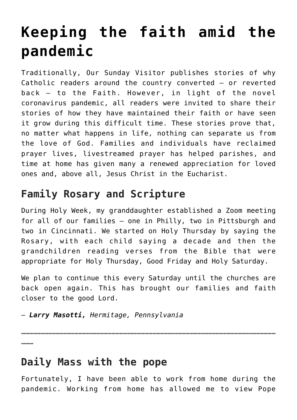# **[Keeping the faith amid the](https://www.osvnews.com/amp/2020/05/29/keeping-the-faith-amid-the-pandemic/) [pandemic](https://www.osvnews.com/amp/2020/05/29/keeping-the-faith-amid-the-pandemic/)**

Traditionally, Our Sunday Visitor publishes stories of why Catholic readers around the country converted — or reverted back — to the Faith. However, in light of the novel coronavirus pandemic, all readers were invited to share their stories of how they have maintained their faith or have seen it grow during this difficult time. These stories prove that, no matter what happens in life, nothing can separate us from the love of God. Families and individuals have reclaimed prayer lives, livestreamed prayer has helped parishes, and time at home has given many a renewed appreciation for loved ones and, above all, Jesus Christ in the Eucharist.

# **Family Rosary and Scripture**

During Holy Week, my granddaughter established a Zoom meeting for all of our families — one in Philly, two in Pittsburgh and two in Cincinnati. We started on Holy Thursday by saying the Rosary, with each child saying a decade and then the grandchildren reading verses from the Bible that were appropriate for Holy Thursday, Good Friday and Holy Saturday.

We plan to continue this every Saturday until the churches are back open again. This has brought our families and faith closer to the good Lord.

— *Larry Masotti, Hermitage, Pennsylvania*

……………………………………………………………………………………………………………………………………………………………………

# **Daily Mass with the pope**

………

Fortunately, I have been able to work from home during the pandemic. Working from home has allowed me to view Pope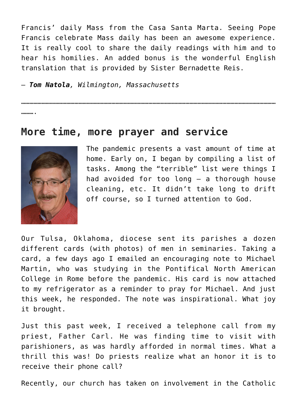Francis' daily Mass from the Casa Santa Marta. Seeing Pope Francis celebrate Mass daily has been an awesome experience. It is really cool to share the daily readings with him and to hear his homilies. An added bonus is the wonderful English translation that is provided by Sister Bernadette Reis.

— *Tom Natola, Wilmington, Massachusetts*

……………………………………………………………………………………………………………………………………………………………………

………

#### **More time, more prayer and service**



The pandemic presents a vast amount of time at home. Early on, I began by compiling a list of tasks. Among the "terrible" list were things I had avoided for too long — a thorough house cleaning, etc. It didn't take long to drift off course, so I turned attention to God.

Our Tulsa, Oklahoma, diocese sent its parishes a dozen different cards (with photos) of men in seminaries. Taking a card, a few days ago I emailed an encouraging note to Michael Martin, who was studying in the Pontifical North American College in Rome before the pandemic. His card is now attached to my refrigerator as a reminder to pray for Michael. And just this week, he responded. The note was inspirational. What joy it brought.

Just this past week, I received a telephone call from my priest, Father Carl. He was finding time to visit with parishioners, as was hardly afforded in normal times. What a thrill this was! Do priests realize what an honor it is to receive their phone call?

Recently, our church has taken on involvement in the Catholic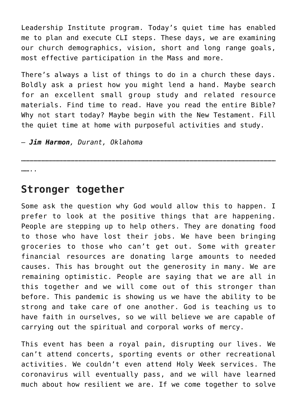Leadership Institute program. Today's quiet time has enabled me to plan and execute CLI steps. These days, we are examining our church demographics, vision, short and long range goals, most effective participation in the Mass and more.

There's always a list of things to do in a church these days. Boldly ask a priest how you might lend a hand. Maybe search for an excellent small group study and related resource materials. Find time to read. Have you read the entire Bible? Why not start today? Maybe begin with the New Testament. Fill the quiet time at home with purposeful activities and study.

……………………………………………………………………………………………………………………………………………………………………

— *Jim Harmon, Durant, Oklahoma*

……

#### **Stronger together**

Some ask the question why God would allow this to happen. I prefer to look at the positive things that are happening. People are stepping up to help others. They are donating food to those who have lost their jobs. We have been bringing groceries to those who can't get out. Some with greater financial resources are donating large amounts to needed causes. This has brought out the generosity in many. We are remaining optimistic. People are saying that we are all in this together and we will come out of this stronger than before. This pandemic is showing us we have the ability to be strong and take care of one another. God is teaching us to have faith in ourselves, so we will believe we are capable of carrying out the spiritual and corporal works of mercy.

This event has been a royal pain, disrupting our lives. We can't attend concerts, sporting events or other recreational activities. We couldn't even attend Holy Week services. The coronavirus will eventually pass, and we will have learned much about how resilient we are. If we come together to solve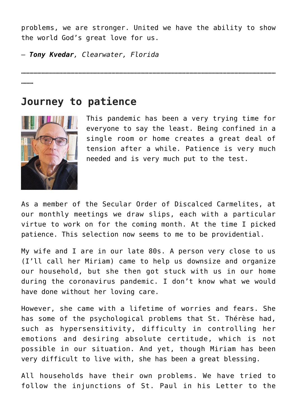problems, we are stronger. United we have the ability to show the world God's great love for us.

……………………………………………………………………………………………………………………………………………………………………

— *Tony Kvedar, Clearwater, Florida*

………

## **Journey to patience**



This pandemic has been a very trying time for everyone to say the least. Being confined in a single room or home creates a great deal of tension after a while. Patience is very much needed and is very much put to the test.

As a member of the Secular Order of Discalced Carmelites, at our monthly meetings we draw slips, each with a particular virtue to work on for the coming month. At the time I picked patience. This selection now seems to me to be providential.

My wife and I are in our late 80s. A person very close to us (I'll call her Miriam) came to help us downsize and organize our household, but she then got stuck with us in our home during the coronavirus pandemic. I don't know what we would have done without her loving care.

However, she came with a lifetime of worries and fears. She has some of the psychological problems that St. Thérèse had, such as hypersensitivity, difficulty in controlling her emotions and desiring absolute certitude, which is not possible in our situation. And yet, though Miriam has been very difficult to live with, she has been a great blessing.

All households have their own problems. We have tried to follow the injunctions of St. Paul in his Letter to the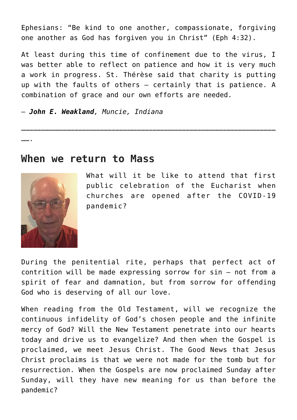Ephesians: "Be kind to one another, compassionate, forgiving one another as God has forgiven you in Christ" (Eph 4:32).

At least during this time of confinement due to the virus, I was better able to reflect on patience and how it is very much a work in progress. St. Thérèse said that charity is putting up with the faults of others — certainly that is patience. A combination of grace and our own efforts are needed.

— *John E. Weakland, Muncie, Indiana*

……………………………………………………………………………………………………………………………………………………………………

…….

#### **When we return to Mass**



What will it be like to attend that first public celebration of the Eucharist when churches are opened after the COVID-19 pandemic?

During the penitential rite, perhaps that perfect act of contrition will be made expressing sorrow for sin — not from a spirit of fear and damnation, but from sorrow for offending God who is deserving of all our love.

When reading from the Old Testament, will we recognize the continuous infidelity of God's chosen people and the infinite mercy of God? Will the New Testament penetrate into our hearts today and drive us to evangelize? And then when the Gospel is proclaimed, we meet Jesus Christ. The Good News that Jesus Christ proclaims is that we were not made for the tomb but for resurrection. When the Gospels are now proclaimed Sunday after Sunday, will they have new meaning for us than before the pandemic?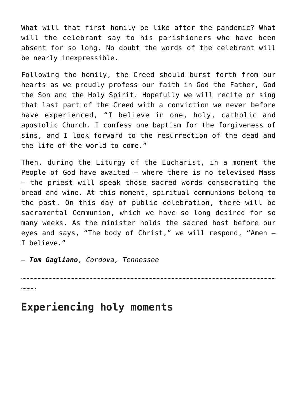What will that first homily be like after the pandemic? What will the celebrant say to his parishioners who have been absent for so long. No doubt the words of the celebrant will be nearly inexpressible.

Following the homily, the Creed should burst forth from our hearts as we proudly profess our faith in God the Father, God the Son and the Holy Spirit. Hopefully we will recite or sing that last part of the Creed with a conviction we never before have experienced, "I believe in one, holy, catholic and apostolic Church. I confess one baptism for the forgiveness of sins, and I look forward to the resurrection of the dead and the life of the world to come."

Then, during the Liturgy of the Eucharist, in a moment the People of God have awaited — where there is no televised Mass — the priest will speak those sacred words consecrating the bread and wine. At this moment, spiritual communions belong to the past. On this day of public celebration, there will be sacramental Communion, which we have so long desired for so many weeks. As the minister holds the sacred host before our eyes and says, "The body of Christ," we will respond, "Amen — I believe."

……………………………………………………………………………………………………………………………………………………………………

— *Tom Gagliano*, *Cordova, Tennessee*

……….

## **Experiencing holy moments**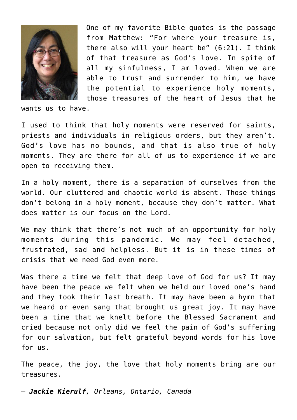

One of my favorite Bible quotes is the passage from Matthew: "For where your treasure is, there also will your heart be" (6:21). I think of that treasure as God's love. In spite of all my sinfulness, I am loved. When we are able to trust and surrender to him, we have the potential to experience holy moments, those treasures of the heart of Jesus that he

wants us to have.

I used to think that holy moments were reserved for saints, priests and individuals in religious orders, but they aren't. God's love has no bounds, and that is also true of holy moments. They are there for all of us to experience if we are open to receiving them.

In a holy moment, there is a separation of ourselves from the world. Our cluttered and chaotic world is absent. Those things don't belong in a holy moment, because they don't matter. What does matter is our focus on the Lord.

We may think that there's not much of an opportunity for holy moments during this pandemic. We may feel detached, frustrated, sad and helpless. But it is in these times of crisis that we need God even more.

Was there a time we felt that deep love of God for us? It may have been the peace we felt when we held our loved one's hand and they took their last breath. It may have been a hymn that we heard or even sang that brought us great joy. It may have been a time that we knelt before the Blessed Sacrament and cried because not only did we feel the pain of God's suffering for our salvation, but felt grateful beyond words for his love for us.

The peace, the joy, the love that holy moments bring are our treasures.

— *Jackie Kierulf, Orleans, Ontario, Canada*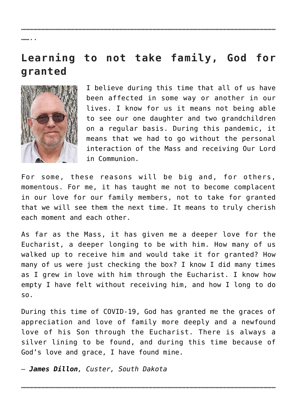# **Learning to not take family, God for granted**

……………………………………………………………………………………………………………………………………………………………………



…… . .

I believe during this time that all of us have been affected in some way or another in our lives. I know for us it means not being able to see our one daughter and two grandchildren on a regular basis. During this pandemic, it means that we had to go without the personal interaction of the Mass and receiving Our Lord in Communion.

For some, these reasons will be big and, for others, momentous. For me, it has taught me not to become complacent in our love for our family members, not to take for granted that we will see them the next time. It means to truly cherish each moment and each other.

As far as the Mass, it has given me a deeper love for the Eucharist, a deeper longing to be with him. How many of us walked up to receive him and would take it for granted? How many of us were just checking the box? I know I did many times as I grew in love with him through the Eucharist. I know how empty I have felt without receiving him, and how I long to do so.

During this time of COVID-19, God has granted me the graces of appreciation and love of family more deeply and a newfound love of his Son through the Eucharist. There is always a silver lining to be found, and during this time because of God's love and grace, I have found mine.

— *James Dillon, Custer, South Dakota*

……………………………………………………………………………………………………………………………………………………………………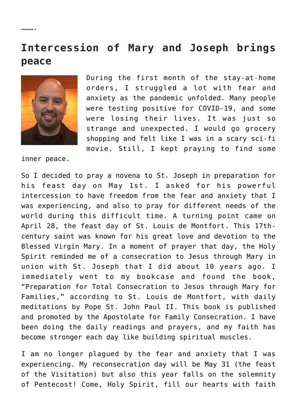………

# **Intercession of Mary and Joseph brings peace**



During the first month of the stay-at-home orders, I struggled a lot with fear and anxiety as the pandemic unfolded. Many people were testing positive for COVID-19, and some were losing their lives. It was just so strange and unexpected. I would go grocery shopping and felt like I was in a scary sci-fi movie. Still, I kept praying to find some

inner peace.

So I decided to pray a novena to St. Joseph in preparation for his feast day on May 1st. I asked for his powerful intercession to have freedom from the fear and anxiety that I was experiencing, and also to pray for different needs of the world during this difficult time. A turning point came on April 28, the feast day of St. Louis de Montfort. This 17thcentury saint was known for his great love and devotion to the Blessed Virgin Mary. In a moment of prayer that day, the Holy Spirit reminded me of a consecration to Jesus through Mary in union with St. Joseph that I did about 10 years ago. I immediately went to my bookcase and found the book, "Preparation for Total Consecration to Jesus through Mary for Families," according to St. Louis de Montfort, with daily meditations by Pope St. John Paul II. This book is published and promoted by the Apostolate for Family Consecration. I have been doing the daily readings and prayers, and my faith has become stronger each day like building spiritual muscles.

I am no longer plagued by the fear and anxiety that I was experiencing. My reconsecration day will be May 31 (the feast of the Visitation) but also this year falls on the solemnity of Pentecost! Come, Holy Spirit, fill our hearts with faith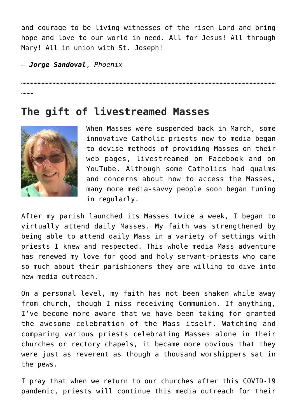and courage to be living witnesses of the risen Lord and bring hope and love to our world in need. All for Jesus! All through Mary! All in union with St. Joseph!

……………………………………………………………………………………………………………………………………………………………………

— *Jorge Sandoval*, *Phoenix*

………

#### **The gift of livestreamed Masses**



When Masses were suspended back in March, some innovative Catholic priests new to media began to devise methods of providing Masses on their web pages, livestreamed on Facebook and on YouTube. Although some Catholics had qualms and concerns about how to access the Masses, many more media-savvy people soon began tuning in regularly.

After my parish launched its Masses twice a week, I began to virtually attend daily Masses. My faith was strengthened by being able to attend daily Mass in a variety of settings with priests I knew and respected. This whole media Mass adventure has renewed my love for good and holy servant-priests who care so much about their parishioners they are willing to dive into new media outreach.

On a personal level, my faith has not been shaken while away from church, though I miss receiving Communion. If anything, I've become more aware that we have been taking for granted the awesome celebration of the Mass itself. Watching and comparing various priests celebrating Masses alone in their churches or rectory chapels, it became more obvious that they were just as reverent as though a thousand worshippers sat in the pews.

I pray that when we return to our churches after this COVID-19 pandemic, priests will continue this media outreach for their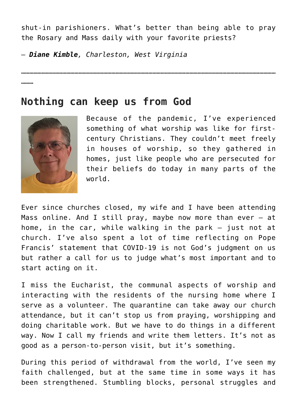shut-in parishioners. What's better than being able to pray the Rosary and Mass daily with your favorite priests?

……………………………………………………………………………………………………………………………………………………………………

— *Diane Kimble, Charleston, West Virginia*

………

### **Nothing can keep us from God**



Because of the pandemic, I've experienced something of what worship was like for firstcentury Christians. They couldn't meet freely in houses of worship, so they gathered in homes, just like people who are persecuted for their beliefs do today in many parts of the world.

Ever since churches closed, my wife and I have been attending Mass online. And I still pray, maybe now more than ever  $-$  at home, in the car, while walking in the park — just not at church. I've also spent a lot of time reflecting on Pope Francis' statement that COVID-19 is not God's judgment on us but rather a call for us to judge what's most important and to start acting on it.

I miss the Eucharist, the communal aspects of worship and interacting with the residents of the nursing home where I serve as a volunteer. The quarantine can take away our church attendance, but it can't stop us from praying, worshipping and doing charitable work. But we have to do things in a different way. Now I call my friends and write them letters. It's not as good as a person-to-person visit, but it's something.

During this period of withdrawal from the world, I've seen my faith challenged, but at the same time in some ways it has been strengthened. Stumbling blocks, personal struggles and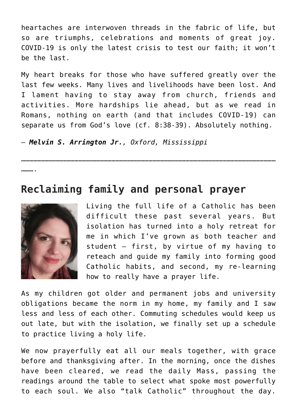heartaches are interwoven threads in the fabric of life, but so are triumphs, celebrations and moments of great joy. COVID-19 is only the latest crisis to test our faith; it won't be the last.

My heart breaks for those who have suffered greatly over the last few weeks. Many lives and livelihoods have been lost. And I lament having to stay away from church, friends and activities. More hardships lie ahead, but as we read in Romans, nothing on earth (and that includes COVID-19) can separate us from God's love (cf. 8:38-39). Absolutely nothing.

……………………………………………………………………………………………………………………………………………………………………

— *Melvin S. Arrington Jr., Oxford, Mississippi*

……….

## **Reclaiming family and personal prayer**



Living the full life of a Catholic has been difficult these past several years. But isolation has turned into a holy retreat for me in which I've grown as both teacher and student — first, by virtue of my having to reteach and guide my family into forming good Catholic habits, and second, my re-learning how to really have a prayer life.

As my children got older and permanent jobs and university obligations became the norm in my home, my family and I saw less and less of each other. Commuting schedules would keep us out late, but with the isolation, we finally set up a schedule to practice living a holy life.

We now prayerfully eat all our meals together, with grace before and thanksgiving after. In the morning, once the dishes have been cleared, we read the daily Mass, passing the readings around the table to select what spoke most powerfully to each soul. We also "talk Catholic" throughout the day.